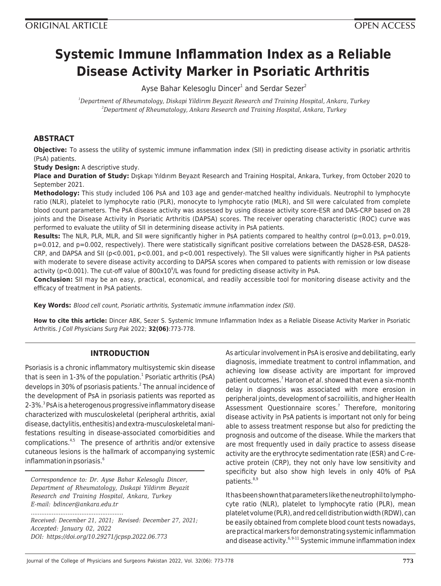# **Systemic Immune Inflammation Index as a Reliable Disease Activity Marker in Psoriatic Arthritis**

Ayse Bahar Kelesoglu Dincer<sup>1</sup> and Serdar Sezer<sup>2</sup>

*<sup>1</sup>Department of Rheumatology, Diskapi Yildirım Beyazit Research and Training Hospital, Ankara, Turkey <sup>2</sup>Department of Rheumatology, Ankara Research and Training Hospital, Ankara, Turkey*

# **ABSTRACT**

**Objective:** To assess the utility of systemic immune inflammation index (SII) in predicting disease activity in psoriatic arthritis (PsA) patients.

**Study Design:** A descriptive study.

**Place and Duration of Study:** Dışkapı Yıldırım Beyazıt Research and Training Hospital, Ankara, Turkey, from October 2020 to September 2021.

**Methodology:** This study included 106 PsA and 103 age and gender-matched healthy individuals. Neutrophil to lymphocyte ratio (NLR), platelet to lymphocyte ratio (PLR), monocyte to lymphocyte ratio (MLR), and SII were calculated from complete blood count parameters. The PsA disease activity was assessed by using disease activity score-ESR and DAS-CRP based on 28 joints and the Disease Activity in Psoriatic Arthritis (DAPSA) scores. The receiver operating characteristic (ROC) curve was performed to evaluate the utility of SII in determining disease activity in PsA patients.

**Results:** The NLR, PLR, MLR, and SII were significantly higher in PsA patients compared to healthy control (p=0.013, p=0.019, p=0.012, and p=0.002, respectively). There were statistically significant positive correlations between the DAS28-ESR, DAS28- CRP, and DAPSA and SII (p<0.001, p<0.001, and p<0.001 respectively). The SII values were significantly higher in PsA patients with moderate to severe disease activity according to DAPSA scores when compared to patients with remission or low disease activity (p<0.001). The cut-off value of  $800 \times 10^9$ /L was found for predicting disease activity in PsA.

**Conclusion:** SII may be an easy, practical, economical, and readily accessible tool for monitoring disease activity and the efficacy of treatment in PsA patients.

**Key Words:** Blood cell count, Psoriatic arthritis, Systematic immune inflammation index (SII).

**How to cite this article:** Dincer ABK, Sezer S. Systemic Immune Inflammation Index as a Reliable Disease Activity Marker in Psoriatic Arthritis. J Coll Physicians Surg Pak 2022; **32(06)**:773-778.

# **INTRODUCTION**

Psoriasis is a chronic inflammatory multisystemic skin disease that is seen in 1-3% of the population.<sup>1</sup> Psoriatic arthritis (PsA) develops in 30% of psoriasis patients. 2 The annual incidence of the development of PsA in psoriasis patients was reported as 2-3%. 3 PsA is a heterogenous progressive inflammatory disease characterized with musculoskeletal (peripheral arthritis, axial disease, dactylitis, enthesitis) and extra-musculoskeletal manifestations resulting in disease-associated comorbidities and complications. $4.5$  The presence of arthritis and/or extensive cutaneous lesions is the hallmark of accompanying systemic inflammation in psoriasis.<sup>6</sup>

*Correspondence to: Dr. Ayse Bahar Kelesoglu Dincer, Department of Rheumatology, Dıskapi Yildirım Beyazit Research and Training Hospital, Ankara, Turkey E-mail: bdincer@ankara.edu.tr*

*..................................................... Received: December 21, 2021; Revised: December 27, 2021; Accepted: January 02, 2022 DOI: https://doi.org/10.29271/jcpsp.2022.06.773*

As articular involvement in PsA is erosive and debilitating, early diagnosis, immediate treatment to control inflammation, and achieving low disease activity are important for improved patient outcomes.<sup>7</sup> Haroon et al. showed that even a six-month delay in diagnosis was associated with more erosion in peripheral joints, development of sacroiliitis, and higher Health Assessment Questionnaire scores. 7 Therefore, monitoring disease activity in PsA patients is important not only for being able to assess treatment response but also for predicting the prognosis and outcome of the disease. While the markers that are most frequently used in daily practice to assess disease activity are the erythrocyte sedimentation rate (ESR) and C-reactive protein (CRP), they not only have low sensitivity and specificity but also show high levels in only 40% of PsA patients.<sup>8,9</sup>

It has been shown that parameters like the neutrophil to lymphocyte ratio (NLR), platelet to lymphocyte ratio (PLR), mean platelet volume (PLR), and red cell distribution width (RDW), can be easily obtained from complete blood count tests nowadays, are practical markers for demonstrating systemic inflammation and disease activity.<sup>6,9-11</sup> Systemic immune inflammation index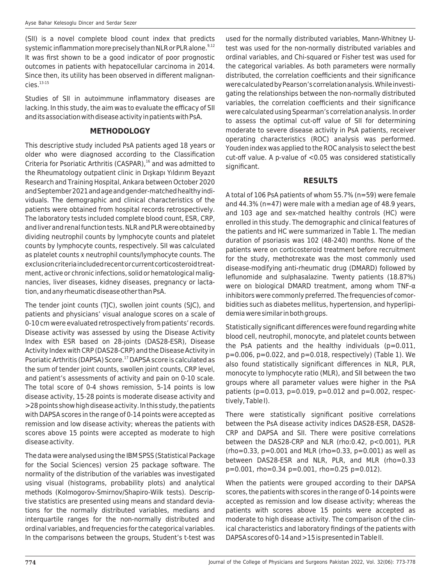(SII) is a novel complete blood count index that predicts systemic inflammation more precisely than NLR or PLR alone.<sup>9,12</sup> It was first shown to be a good indicator of poor prognostic outcomes in patients with hepatocellular carcinoma in 2014. Since then, its utility has been observed in different malignan- $CieS<sup>13-15</sup>$ 

Studies of SII in autoimmune inflammatory diseases are lacking. In this study, the aim was to evaluate the efficacy of SII and its association with disease activity in patients with PsA.

## **METHODOLOGY**

This descriptive study included PsA patients aged 18 years or older who were diagnosed according to the Classification Criteria for Psoriatic Arthritis (CASPAR),<sup>16</sup> and was admitted to the Rheumatology outpatient clinic in Dışkapı Yıldırım Beyazıt Research and Training Hospital, Ankara between October 2020 and September 2021 and age and gender-matched healthy individuals. The demographic and clinical characteristics of the patients were obtained from hospital records retrospectively. The laboratory tests included complete blood count, ESR, CRP, and liver and renal function tests. NLR and PLR were obtained by dividing neutrophil counts by lymphocyte counts and platelet counts by lymphocyte counts, respectively. SII was calculated as platelet counts x neutrophil counts/lymphocyte counts. The exclusion criteria included recent or current corticosteroid treatment, active or chronic infections, solid or hematological malignancies, liver diseases, kidney diseases, pregnancy or lactation, and any rheumatic disease other than PsA.

The tender joint counts (TJC), swollen joint counts (SJC), and patients and physicians' visual analogue scores on a scale of 0-10 cm were evaluated retrospectively from patients' records. Disease activity was assessed by using the Disease Activity Index with ESR based on 28-joints (DAS28-ESR), Disease Activity Index with CRP (DAS28-CRP) and the Disease Activity in Psoriatic Arthritis (DAPSA) Score.<sup>17</sup> DAPSA score is calculated as the sum of tender joint counts, swollen joint counts, CRP level, and patient's assessments of activity and pain on 0-10 scale. The total score of 0-4 shows remission, 5-14 points is low disease activity, 15-28 points is moderate disease activity and >28 points show high disease activity. In this study, the patients with DAPSA scores in the range of 0-14 points were accepted as remission and low disease activity; whereas the patients with scores above 15 points were accepted as moderate to high disease activity.

The data were analysed using the IBM SPSS (Statistical Package for the Social Sciences) version 25 package software. The normality of the distribution of the variables was investigated using visual (histograms, probability plots) and analytical methods (Kolmogorov-Smirnov/Shapiro-Wilk tests). Descriptive statistics are presented using means and standard deviations for the normally distributed variables, medians and interquartile ranges for the non-normally distributed and ordinal variables, and frequencies for the categorical variables. In the comparisons between the groups, Student's t-test was used for the normally distributed variables, Mann-Whitney Utest was used for the non-normally distributed variables and ordinal variables, and Chi-squared or Fisher test was used for the categorical variables. As both parameters were normally distributed, the correlation coefficients and their significance were calculated by Pearson's correlation analysis. While investigating the relationships between the non-normally distributed variables, the correlation coefficients and their significance were calculated using Spearman's correlation analysis. In order to assess the optimal cut-off value of SII for determining moderate to severe disease activity in PsA patients, receiver operating characteristics (ROC) analysis was performed. Youden index was applied to the ROC analysis to select the best cut-off value. A p-value of <0.05 was considered statistically significant.

# **RESULTS**

A total of 106 PsA patients of whom 55.7% (n=59) were female and 44.3% (n=47) were male with a median age of 48.9 years, and 103 age and sex-matched healthy controls (HC) were enrolled in this study. The demographic and clinical features of the patients and HC were summarized in Table 1. The median duration of psoriasis was 102 (48-240) months. None of the patients were on corticosteroid treatment before recruitment for the study, methotrexate was the most commonly used disease-modifying anti-rheumatic drug (DMARD) followed by leflunomide and sulphasalazine. Twenty patients (18.87%) were on biological DMARD treatment, among whom TNF-α inhibitors were commonly preferred. The frequencies of comorbidities such as diabetes mellitus, hypertension, and hyperlipidemia were similar in both groups.

Statistically significant differences were found regarding white blood cell, neutrophil, monocyte, and platelet counts between the PsA patients and the healthy individuals (p=0.011, p=0.006, p=0.022, and p=0.018, respectively) (Table 1). We also found statistically significant differences in NLR, PLR, monocyte to lymphocyte ratio (MLR), and SII between the two groups where all parameter values were higher in the PsA patients (p=0.013, p=0.019, p=0.012 and p=0.002, respectively, Table I).

There were statistically significant positive correlations between the PsA disease activity indices DAS28-ESR, DAS28- CRP and DAPSA and SII. There were positive correlations between the DAS28-CRP and NLR (rho:0.42, p<0.001), PLR  $(rho=0.33, p=0.001$  and MLR  $(rho=0.33, p=0.001)$  as well as between DAS28-ESR and NLR, PLR, and MLR (rho=0.33 p=0.001, rho=0.34 p=0.001, rho=0.25 p=0.012).

When the patients were grouped according to their DAPSA scores, the patients with scores in the range of 0-14 points were accepted as remission and low disease activity; whereas the patients with scores above 15 points were accepted as moderate to high disease activity. The comparison of the clinical characteristics and laboratory findings of the patients with DAPSA scores of 0-14 and >15 is presented in Table II.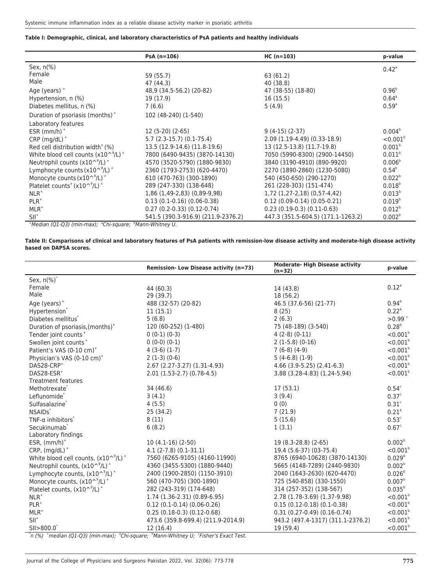#### **Table I: Demographic, clinical, and laboratory characteristics of PsA patients and healthy individuals**

|                                                                      | $PsA(n=106)$                       | $HC (n=103)$                       | p-value                |
|----------------------------------------------------------------------|------------------------------------|------------------------------------|------------------------|
| Sex, $n\frac{9}{6}$                                                  |                                    |                                    | $0.42^{\circ}$         |
| Female                                                               | 59 (55.7)                          | 63 (61.2)                          |                        |
| Male                                                                 | 47 (44.3)                          | 40 (38.8)                          |                        |
| Age (years) $+$                                                      | 48,9 (34.5-56.2) (20-82)           | 47 (38-55) (18-80)                 | $0.96^{b}$             |
| Hypertension, n (%)                                                  | 19 (17.9)                          | 16(15.5)                           | $0.64^{\circ}$         |
| Diabetes mellitus, n (%)                                             | 7(6.6)                             | 5(4.9)                             | 0.59 <sup>a</sup>      |
| Duration of psoriasis (months) <sup>+</sup>                          | 102 (48-240) (1-540)               |                                    |                        |
| Laboratory features                                                  |                                    |                                    |                        |
| ESR $(mm/h)^+$                                                       | 12 (5-20) (2-65)                   | $9(4-15)(2-37)$                    | $0.004^b$              |
| $CRP$ (mg/dL) <sup>+</sup>                                           | $5.7(2.3-15.7)(0.1-75.4)$          | $2.09(1.19-4.49)(0.33-18.9)$       | $< 0.001$ <sup>b</sup> |
| Red cell distribution width <sup>+</sup> $(%)$                       | 13.5 (12.9-14.6) (11.8-19.6)       | 13 (12.5-13.8) (11.7-19.8)         | 0.001 <sup>b</sup>     |
| White blood cell counts $(x10^{\circ}$ <sup>9</sup> /L) <sup>+</sup> | 7800 (6490-9435) (3870-14130)      | 7050 (5990-8300) (2900-14450)      | 0.011 <sup>b</sup>     |
| Neutrophil counts $(x10^{\circ}/L)^+$                                | 4570 (3520-5790) (1880-9830)       | 3840 (3190-4910) (890-9920)        | 0.006 <sup>b</sup>     |
| Lymphocyte counts $(x10^{\circ}/L)^+$                                | 2360 (1793-2753) (620-4470)        | 2270 (1890-2860) (1230-5080)       | $0.54^{\circ}$         |
| Monocyte counts $(x10^{\circ}$ <sup>9</sup> /L) <sup>+</sup>         | 610 (470-763) (300-1890)           | 540 (450-650) (290-1270)           | $0.022^{b}$            |
| Platelet counts <sup>+</sup> (x10 <sup>^9</sup> /L) <sup>+</sup>     | 289 (247-330) (138-648)            | 261 (228-303) (151-474)            | $0.018^{b}$            |
| $NLR^+$                                                              | 1,86 (1,49-2,83) (0,89-9,98)       | 1,72 (1,27-2,18) (0,57-4,42)       | $0.013^{b}$            |
| $PLR^+$                                                              | $0.13(0.1-0.16)(0.06-0.38)$        | $0.12$ (0.09-0.14) (0.05-0.21)     | $0.019^{b}$            |
| $MLR^+$                                                              | $0.27(0.2-0.33)(0.12-0.74)$        | $0.23(0.19-0.3)(0.11-0.63)$        | $0.012^{b}$            |
| $SII^+$                                                              | 541.5 (390.3-916.9) (211.9-2376.2) | 447.3 (351.5-604.5) (171.1-1263.2) | 0.002 <sup>b</sup>     |

+Median (Q1-Q3) (min-max); <sup>a</sup>Chi-square; bMann-Whitney U.

**Table II: Comparisons of clinical and laboratory features of PsA patients with remission-low disease activity and moderate-high disease activity based on DAPSA scores.**

|                                                                                       | Remission- Low Disease activity (n=73) | <b>Moderate- High Disease activity</b><br>$(n=32)$ | p-value              |
|---------------------------------------------------------------------------------------|----------------------------------------|----------------------------------------------------|----------------------|
| Sex, $n(\%)^*$                                                                        |                                        |                                                    |                      |
| Female                                                                                | 44 (60.3)                              | 14 (43.8)                                          | $0.12^{\circ}$       |
| Male                                                                                  | 29 (39.7)                              | 18 (56.2)                                          |                      |
| Age (years) $+$                                                                       | 488 (32-57) (20-82)                    | 46.5 (37.6-56) (21-77)                             | $0.94^{\circ}$       |
| Hypertension <sup>*</sup>                                                             | 11(15.1)                               | 8(25)                                              | $0.22$ <sup>a</sup>  |
| Diabetes mellitus <sup>*</sup>                                                        | 5(6.8)                                 | 2(6.3)                                             | $>0.99$ <sup>c</sup> |
| Duration of psoriasis, (months) <sup>+</sup>                                          | 120 (60-252) (1-480)                   | 75 (48-189) (3-540)                                | $0.28^{b}$           |
| Tender joint counts <sup>+</sup>                                                      | $0(0-1)(0-3)$                          | $4(2-8)(0-11)$                                     | $< 0.001^b$          |
| Swollen joint counts <sup>+</sup>                                                     | $0(0-0)(0-1)$                          | $2(1-5.8)(0-16)$                                   | $< 0.001^b$          |
| Patient's VAS (0-10 cm) <sup>+</sup>                                                  | $4(3-6)(1-7)$                          | $7(6-8)(4-9)$                                      | $< 0.001^b$          |
| Physician's VAS (0-10 cm) <sup>+</sup>                                                | $2(1-3)(0-6)$                          | $5(4-6.8)(1-9)$                                    | $< 0.001^b$          |
| DAS28-CRP <sup>+</sup>                                                                | 2.67 (2.27-3.27) (1.31-4.93)           | $4.66$ (3.9-5.25) (2.41-6.3)                       | $< 0.001^b$          |
| DAS28-ESR <sup>+</sup>                                                                | $2.01(1.53-2.7)(0.78-4.5)$             | 3.88 (3.28-4.83) (1.24-5.94)                       | $< 0.001^b$          |
| <b>Treatment features</b>                                                             |                                        |                                                    |                      |
| Methotrexate <sup>*</sup>                                                             | 34 (46.6)                              | 17(53.1)                                           | 0.54 <sup>c</sup>    |
| Leflunomide <sup>®</sup>                                                              | 3(4.1)                                 | 3(9.4)                                             | 0.37 <sup>c</sup>    |
| Sulfasalazine <sup>®</sup>                                                            | 4(5.5)                                 | 0(0)                                               | 0.31 <sup>c</sup>    |
| NSAID <sub>s</sub> *                                                                  | 25(34.2)                               | 7(21.9)                                            | 0.21 <sup>a</sup>    |
| $TNF-\alpha$ inhibitors <sup>*</sup>                                                  | 8(11)                                  | 5(15.6)                                            | 0.53 <sup>c</sup>    |
| Secukinumab <sup>*</sup>                                                              | 6(8.2)                                 | 1(3.1)                                             | 0.67 <sup>c</sup>    |
| Laboratory findings                                                                   |                                        |                                                    |                      |
| ESR, $(mm/h)^+$                                                                       | $10(4.1-16)(2-50)$                     | 19 (8.3-28.8) (2-65)                               | 0.002 <sup>b</sup>   |
| $CRP$ , $(mg/dL)^+$                                                                   | $4.1(2-7.8)(0.1-31.1)$                 | 19.4 (5.6-37) (03-75.4)                            | $< 0.001^b$          |
| White blood cell counts, $(x10^{\circ}$ <sup>9</sup> /L) <sup>+</sup>                 | 7560 (6265-9105) (4160-11990)          | 8765 (6940-10628) (3870-14130)                     | $0.029^{b}$          |
| Neutrophil counts, $(x10^{\circ}/L)^+$                                                | 4360 (3455-5300) (1880-9440)           | 5665 (4148-7289) (2440-9830)                       | 0.002 <sup>b</sup>   |
| Lymphocyte counts, $(x10^9/L)^+$                                                      | 2400 (1900-2850) (1150-3910)           | 2040 (1643-2630) (620-4470)                        | 0.026 <sup>b</sup>   |
| Monocyte counts, (x10^9/L) <sup>+</sup>                                               | 560 (470-705) (300-1890)               | 725 (540-858) (330-1550)                           | 0.007 <sup>b</sup>   |
| Platelet counts, $(x10^{\circ}/L)^+$                                                  | 282 (243-319) (174-648)                | 314 (257-352) (138-567)                            | $0.035^{b}$          |
| $NLR^+$                                                                               | 1.74 (1.36-2.31) (0.89-6.95)           | 2.78 (1.78-3.69) (1.37-9.98)                       | $< 0.001^b$          |
| $PLR^+$                                                                               | $0.12$ (0.1-0.14) (0.06-0.26)          | $0.15(0.12-0.18)(0.1-0.38)$                        | $< 0.001^b$          |
| $MLR+$                                                                                | $0.25(0.18-0.3)(0.12-0.68)$            | $0.31(0.27-0.49)(0.16-0.74)$                       | $< 0.001^b$          |
| $SII^+$                                                                               | 473.6 (359.8-699.4) (211.9-2014.9)     | 943.2 (497.4-1317) (311.1-2376.2)                  | $< 0.001^b$          |
| $SII > 800.0^{\circ}$                                                                 | 12(16.4)                               | 19 (59.4)                                          | $< 0.001^b$          |
| *n (%) *median (Q1-Q3) (min-max); *Chi-square; *Mann-Whitney U; 'Fisher's Exact Test. |                                        |                                                    |                      |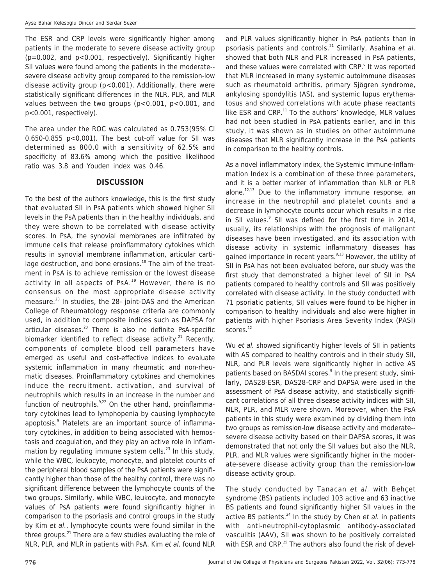The ESR and CRP levels were significantly higher among patients in the moderate to severe disease activity group (p=0.002, and p<0.001, respectively). Significantly higher SII values were found among the patients in the moderate- severe disease activity group compared to the remission-low disease activity group (p<0.001). Additionally, there were statistically significant differences in the NLR, PLR, and MLR values between the two groups (p<0.001, p<0.001, and p<0.001, respectively).

The area under the ROC was calculated as 0.753(95% CI 0.650-0.855 p<0,001). The best cut-off value for SII was determined as 800.0 with a sensitivity of 62.5% and specificity of 83.6% among which the positive likelihood ratio was 3.8 and Youden index was 0.46.

#### **DISCUSSION**

To the best of the authors knowledge, this is the first study that evaluated SII in PsA patients which showed higher SII levels in the PsA patients than in the healthy individuals, and they were shown to be correlated with disease activity scores. In PsA, the synovial membranes are infiltrated by immune cells that release proinflammatory cytokines which results in synovial membrane inflammation, articular cartilage destruction, and bone erosions. $18$  The aim of the treatment in PsA is to achieve remission or the lowest disease activity in all aspects of PsA. $19$  However, there is no consensus on the most appropriate disease activity measure.<sup>20</sup> In studies, the 28- joint-DAS and the American College of Rheumatology response criteria are commonly used, in addition to composite indices such as DAPSA for articular diseases.<sup>20</sup> There is also no definite PsA-specific biomarker identified to reflect disease activity.<sup>21</sup> Recently, components of complete blood cell parameters have emerged as useful and cost-effective indices to evaluate systemic inflammation in many rheumatic and non-rheumatic diseases. Proinflammatory cytokines and chemokines induce the recruitment, activation, and survival of neutrophils which results in an increase in the number and function of neutrophils. $9.22$  On the other hand, proinflammatory cytokines lead to lymphopenia by causing lymphocyte apoptosis.<sup>9</sup> Platelets are an important source of inflammatory cytokines, in addition to being associated with hemostasis and coagulation, and they play an active role in inflammation by regulating immune system cells.<sup>23</sup> In this study, while the WBC, leukocyte, monocyte, and platelet counts of the peripheral blood samples of the PsA patients were significantly higher than those of the healthy control, there was no significant difference between the lymphocyte counts of the two groups. Similarly, while WBC, leukocyte, and monocyte values of PsA patients were found significantly higher in comparison to the psoriasis and control groups in the study by Kim et al., lymphocyte counts were found similar in the three groups.<sup>21</sup> There are a few studies evaluating the role of NLR, PLR, and MLR in patients with PsA. Kim et al. found NLR

and PLR values significantly higher in PsA patients than in psoriasis patients and controls.<sup>21</sup> Similarly, Asahina et al. showed that both NLR and PLR increased in PsA patients, and these values were correlated with CRP. 6 It was reported that MLR increased in many systemic autoimmune diseases such as rheumatoid arthritis, primary Sjögren syndrome, ankylosing spondylitis (AS), and systemic lupus erythematosus and showed correlations with acute phase reactants like ESR and CRP.<sup>11</sup> To the authors' knowledge, MLR values had not been studied in PsA patients earlier, and in this study, it was shown as in studies on other autoimmune diseases that MLR significantly increase in the PsA patients in comparison to the healthy controls.

As a novel inflammatory index, the Systemic Immune-Inflammation Index is a combination of these three parameters, and it is a better marker of inflammation than NLR or PLR alone. 12,13 Due to the inflammatory immune response, an increase in the neutrophil and platelet counts and a decrease in lymphocyte counts occur which results in a rise in SII values.<sup>9</sup> SII was defined for the first time in 2014, usually, its relationships with the prognosis of malignant diseases have been investigated, and its association with disease activity in systemic inflammatory diseases has gained importance in recent years.<sup>9,13</sup> However, the utility of SII in PsA has not been evaluated before, our study was the first study that demonstrated a higher level of SII in PsA patients compared to healthy controls and SII was positively correlated with disease activity. In the study conducted with 71 psoriatic patients, SII values were found to be higher in comparison to healthy individuals and also were higher in patients with higher Psoriasis Area Severity Index (PASI) scores.<sup>12</sup>

Wu et al. showed significantly higher levels of SII in patients with AS compared to healthy controls and in their study SII, NLR, and PLR levels were significantly higher in active AS patients based on BASDAI scores.<sup>9</sup> In the present study, similarly, DAS28-ESR, DAS28-CRP and DAPSA were used in the assessment of PsA disease activity, and statistically significant correlations of all three disease activity indices with SII, NLR, PLR, and MLR were shown. Moreover, when the PsA patients in this study were examined by dividing them into two groups as remission-low disease activity and moderate- severe disease activity based on their DAPSA scores, it was demonstrated that not only the SII values but also the NLR, PLR, and MLR values were significantly higher in the moderate-severe disease activity group than the remission-low disease activity group.

The study conducted by Tanacan et al. with Behçet syndrome (BS) patients included 103 active and 63 inactive BS patients and found significantly higher SII values in the active BS patients.<sup>24</sup> In the study by Chen et al. in patients with anti-neutrophil-cytoplasmic antibody-associated vasculitis (AAV), SII was shown to be positively correlated with ESR and CRP.<sup>25</sup> The authors also found the risk of devel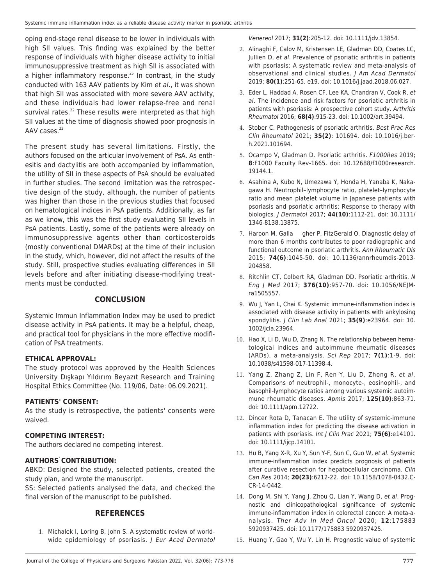oping end-stage renal disease to be lower in individuals with high SII values. This finding was explained by the better response of individuals with higher disease activity to initial immunosuppressive treatment as high SII is associated with a higher inflammatory response. <sup>25</sup> In contrast, in the study conducted with 163 AAV patients by Kim et al., it was shown that high SII was associated with more severe AAV activity, and these individuals had lower relapse-free and renal survival rates.<sup>22</sup> These results were interpreted as that high SII values at the time of diagnosis showed poor prognosis in AAV cases.<sup>22</sup>

The present study has several limitations. Firstly, the authors focused on the articular involvement of PsA. As enthesitis and dactylitis are both accompanied by inflammation, the utility of SII in these aspects of PsA should be evaluated in further studies. The second limitation was the retrospective design of the study, although, the number of patients was higher than those in the previous studies that focused on hematological indices in PsA patients. Additionally, as far as we know, this was the first study evaluating SII levels in PsA patients. Lastly, some of the patients were already on immunosuppressive agents other than corticosteroids (mostly conventional DMARDs) at the time of their inclusion in the study, which, however, did not affect the results of the study. Still, prospective studies evaluating differences in SII levels before and after initiating disease-modifying treatments must be conducted.

### **CONCLUSION**

Systemic Immun Inflammation Index may be used to predict disease activity in PsA patients. It may be a helpful, cheap, and practical tool for physicians in the more effective modification of PsA treatments.

#### **ETHICAL APPROVAL:**

The study protocol was approved by the Health Sciences University Dışkapı Yıldırım Beyazıt Research and Training Hospital Ethics Committee (No. 119/06, Date: 06.09.2021).

#### **PATIENTS' CONSENT:**

As the study is retrospective, the patients' consents were waived.

#### **COMPETING INTEREST:**

The authors declared no competing interest.

#### **AUTHORS' CONTRIBUTION:**

ABKD: Designed the study, selected patients, created the study plan, and wrote the manuscript.

SS: Selected patients analysed the data, and checked the final version of the manuscript to be published.

### **REFERENCES**

1. Michalek I, Loring B, John S. A systematic review of worldwide epidemiology of psoriasis. J Eur Acad Dermatol Venereol 2017; **31(2)**:205-12. doi: 10.1111/jdv.13854.

- 2. Alinaghi F, Calov M, Kristensen LE, Gladman DD, Coates LC, Jullien D, et al. Prevalence of psoriatic arthritis in patients with psoriasis: A systematic review and meta-analysis of observational and clinical studies. J Am Acad Dermatol 2019; **80(1)**:251-65. e19. doi: 10.1016/j.jaad.2018.06.027.
- 3. Eder L, Haddad A, Rosen CF, Lee KA, Chandran V, Cook R, et al. The incidence and risk factors for psoriatic arthritis in patients with psoriasis: A prospective cohort study. Arthritis Rheumatol 2016; **68(4)**:915-23. doi: 10.1002/art.39494.
- 4. Stober C. Pathogenesis of psoriatic arthritis. Best Prac Res Clin Rheumatol 2021; **35(2)**: 101694. doi: 10.1016/j.berh.2021.101694.
- 5. Ocampo V, Gladman D. Psoriatic arthritis. F1000Res 2019; **8**:F1000 Faculty Rev-1665. doi: 10.12688/f1000research. 19144.1.
- 6. Asahina A, Kubo N, Umezawa Y, Honda H, Yanaba K, Nakagawa H. Neutrophil–lymphocyte ratio, platelet–lymphocyte ratio and mean platelet volume in Japanese patients with psoriasis and psoriatic arthritis: Response to therapy with biologics. J Dermatol 2017; **44(10)**:1112-21. doi: 10.1111/ 1346-8138.13875.
- 7. Haroon M, Galla gher P, FitzGerald O. Diagnostic delay of more than 6 months contributes to poor radiographic and functional outcome in psoriatic arthritis. Ann Rheumatic Dis 2015; **74(6)**:1045-50. doi: 10.1136/annrheumdis-2013- 204858.
- 8. Ritchlin CT, Colbert RA, Gladman DD. Psoriatic arthritis. N Eng J Med 2017; **376(10)**:957-70. doi: 10.1056/NEJMra1505557.
- 9. Wu J, Yan L, Chai K. Systemic immune-inflammation index is associated with disease activity in patients with ankylosing spondylitis. J Clin Lab Anal 2021; **35(9)**:e23964. doi: 10. 1002/jcla.23964.
- 10. Hao X, Li D, Wu D, Zhang N. The relationship between hematological indices and autoimmune rheumatic diseases (ARDs), a meta-analysis. Sci Rep 2017; **7(1)**:1-9. doi: 10.1038/s41598-017-11398-4.
- 11. Yang Z, Zhang Z, Lin F, Ren Y, Liu D, Zhong R, et al. Comparisons of neutrophil‐, monocyte‐, eosinophil‐, and basophil‐lymphocyte ratios among various systemic autoimmune rheumatic diseases. Apmis 2017; **125(10)**:863-71. doi: 10.1111/apm.12722.
- 12. Dincer Rota D, Tanacan E. The utility of systemic-immune inflammation index for predicting the disease activation in patients with psoriasis. Int J Clin Prac 2021; **75(6)**:e14101. doi: 10.1111/ijcp.14101.
- 13. Hu B, Yang X-R, Xu Y, Sun Y-F, Sun C, Guo W, et al. Systemic immune-inflammation index predicts prognosis of patients after curative resection for hepatocellular carcinoma. Clin Can Res 2014; **20(23)**:6212-22. doi: 10.1158/1078-0432.C-CR-14-0442.
- 14. Dong M, Shi Y, Yang J, Zhou Q, Lian Y, Wang D, et al. Prognostic and clinicopathological significance of systemic immune-inflammation index in colorectal cancer: A meta-analysis. Ther Adv In Med Oncol 2020; **12**:175883 5920937425. doi: 10.1177/175883 5920937425.
- 15. Huang Y, Gao Y, Wu Y, Lin H. Prognostic value of systemic